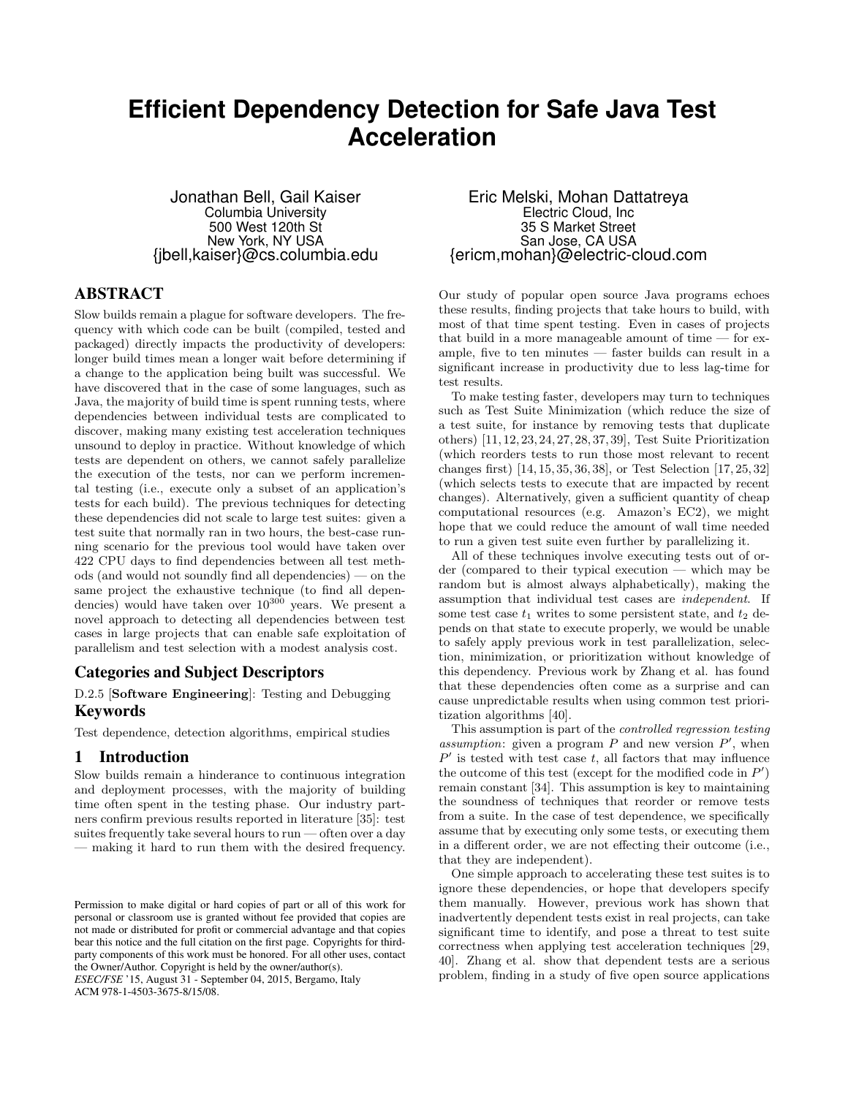# **Efficient Dependency Detection for Safe Java Test Acceleration**

Jonathan Bell, Gail Kaiser Columbia University 500 West 120th St New York, NY USA {jbell,kaiser}@cs.columbia.edu

# ABSTRACT

Slow builds remain a plague for software developers. The frequency with which code can be built (compiled, tested and packaged) directly impacts the productivity of developers: longer build times mean a longer wait before determining if a change to the application being built was successful. We have discovered that in the case of some languages, such as Java, the majority of build time is spent running tests, where dependencies between individual tests are complicated to discover, making many existing test acceleration techniques unsound to deploy in practice. Without knowledge of which tests are dependent on others, we cannot safely parallelize the execution of the tests, nor can we perform incremental testing (i.e., execute only a subset of an application's tests for each build). The previous techniques for detecting these dependencies did not scale to large test suites: given a test suite that normally ran in two hours, the best-case running scenario for the previous tool would have taken over 422 CPU days to find dependencies between all test methods (and would not soundly find all dependencies) — on the same project the exhaustive technique (to find all dependencies) would have taken over  $10^{300}$  years. We present a novel approach to detecting all dependencies between test cases in large projects that can enable safe exploitation of parallelism and test selection with a modest analysis cost.

#### Categories and Subject Descriptors

D.2.5 [Software Engineering]: Testing and Debugging Keywords

Test dependence, detection algorithms, empirical studies

#### 1 Introduction

Slow builds remain a hinderance to continuous integration and deployment processes, with the majority of building time often spent in the testing phase. Our industry partners confirm previous results reported in literature [35]: test suites frequently take several hours to  $run$  — often over a day — making it hard to run them with the desired frequency.

*ESEC/FSE* '15, August 31 - September 04, 2015, Bergamo, Italy ACM 978-1-4503-3675-8/15/08.

Eric Melski, Mohan Dattatreya Electric Cloud, Inc 35 S Market Street San Jose, CA USA {ericm,mohan}@electric-cloud.com

Our study of popular open source Java programs echoes these results, finding projects that take hours to build, with most of that time spent testing. Even in cases of projects that build in a more manageable amount of time — for example, five to ten minutes — faster builds can result in a significant increase in productivity due to less lag-time for test results.

To make testing faster, developers may turn to techniques such as Test Suite Minimization (which reduce the size of a test suite, for instance by removing tests that duplicate others) [11, 12, 23, 24, 27, 28, 37, 39], Test Suite Prioritization (which reorders tests to run those most relevant to recent changes first) [14, 15, 35, 36, 38], or Test Selection [17, 25, 32] (which selects tests to execute that are impacted by recent changes). Alternatively, given a sufficient quantity of cheap computational resources (e.g. Amazon's EC2), we might hope that we could reduce the amount of wall time needed to run a given test suite even further by parallelizing it.

All of these techniques involve executing tests out of order (compared to their typical execution — which may be random but is almost always alphabetically), making the assumption that individual test cases are independent. If some test case  $t_1$  writes to some persistent state, and  $t_2$  depends on that state to execute properly, we would be unable to safely apply previous work in test parallelization, selection, minimization, or prioritization without knowledge of this dependency. Previous work by Zhang et al. has found that these dependencies often come as a surprise and can cause unpredictable results when using common test prioritization algorithms [40].

This assumption is part of the controlled regression testing assumption: given a program  $P$  and new version  $P'$ , when  $P'$  is tested with test case t, all factors that may influence the outcome of this test (except for the modified code in  $P'$ ) remain constant [34]. This assumption is key to maintaining the soundness of techniques that reorder or remove tests from a suite. In the case of test dependence, we specifically assume that by executing only some tests, or executing them in a different order, we are not effecting their outcome (i.e., that they are independent).

One simple approach to accelerating these test suites is to ignore these dependencies, or hope that developers specify them manually. However, previous work has shown that inadvertently dependent tests exist in real projects, can take significant time to identify, and pose a threat to test suite correctness when applying test acceleration techniques [29, 40]. Zhang et al. show that dependent tests are a serious problem, finding in a study of five open source applications

Permission to make digital or hard copies of part or all of this work for personal or classroom use is granted without fee provided that copies are not made or distributed for profit or commercial advantage and that copies bear this notice and the full citation on the first page. Copyrights for thirdparty components of this work must be honored. For all other uses, contact the Owner/Author. Copyright is held by the owner/author(s).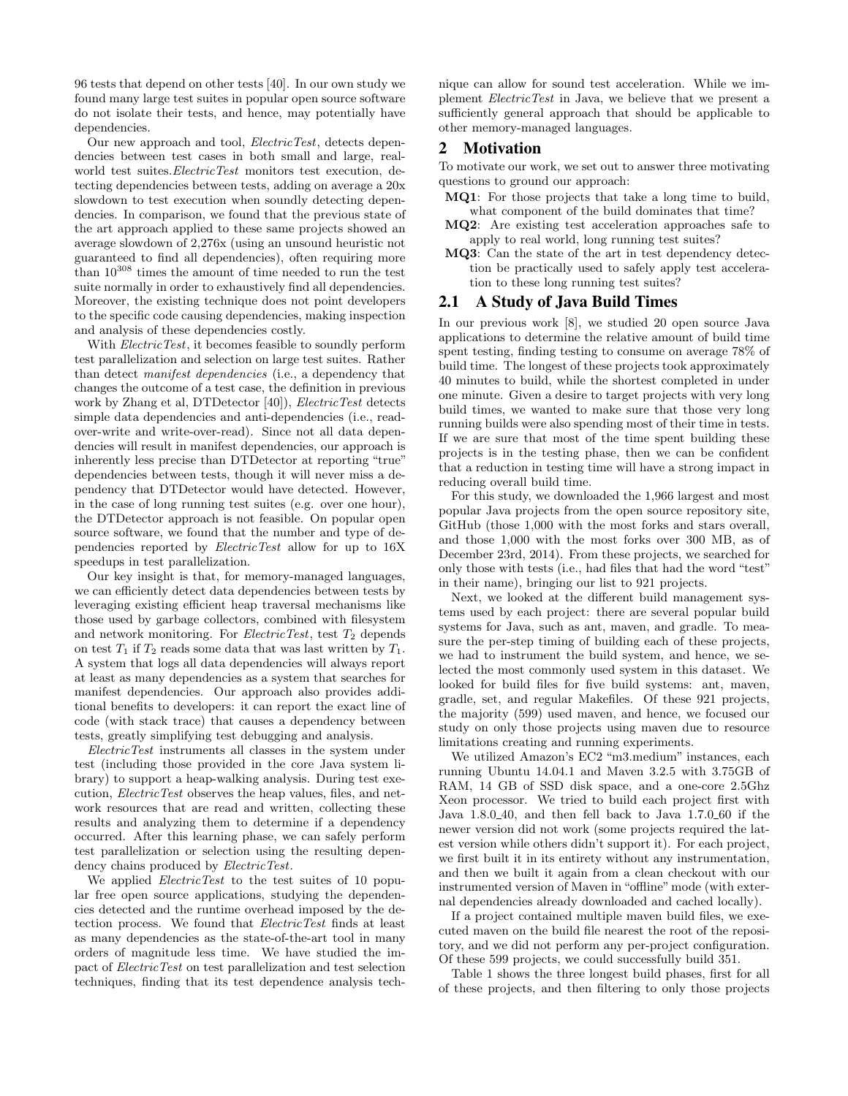96 tests that depend on other tests [40]. In our own study we found many large test suites in popular open source software do not isolate their tests, and hence, may potentially have dependencies.

Our new approach and tool, *ElectricTest*, detects dependencies between test cases in both small and large, realworld test suites. *ElectricTest* monitors test execution, detecting dependencies between tests, adding on average a 20x slowdown to test execution when soundly detecting dependencies. In comparison, we found that the previous state of the art approach applied to these same projects showed an average slowdown of 2,276x (using an unsound heuristic not guaranteed to find all dependencies), often requiring more than 10<sup>308</sup> times the amount of time needed to run the test suite normally in order to exhaustively find all dependencies. Moreover, the existing technique does not point developers to the specific code causing dependencies, making inspection and analysis of these dependencies costly.

With *ElectricTest*, it becomes feasible to soundly perform test parallelization and selection on large test suites. Rather than detect manifest dependencies (i.e., a dependency that changes the outcome of a test case, the definition in previous work by Zhang et al, DTDetector [40]), ElectricTest detects simple data dependencies and anti-dependencies (i.e., readover-write and write-over-read). Since not all data dependencies will result in manifest dependencies, our approach is inherently less precise than DTDetector at reporting "true" dependencies between tests, though it will never miss a dependency that DTDetector would have detected. However, in the case of long running test suites (e.g. over one hour), the DTDetector approach is not feasible. On popular open source software, we found that the number and type of dependencies reported by ElectricTest allow for up to 16X speedups in test parallelization.

Our key insight is that, for memory-managed languages, we can efficiently detect data dependencies between tests by leveraging existing efficient heap traversal mechanisms like those used by garbage collectors, combined with filesystem and network monitoring. For *ElectricTest*, test  $T_2$  depends on test  $T_1$  if  $T_2$  reads some data that was last written by  $T_1$ . A system that logs all data dependencies will always report at least as many dependencies as a system that searches for manifest dependencies. Our approach also provides additional benefits to developers: it can report the exact line of code (with stack trace) that causes a dependency between tests, greatly simplifying test debugging and analysis.

ElectricTest instruments all classes in the system under test (including those provided in the core Java system library) to support a heap-walking analysis. During test execution, ElectricTest observes the heap values, files, and network resources that are read and written, collecting these results and analyzing them to determine if a dependency occurred. After this learning phase, we can safely perform test parallelization or selection using the resulting dependency chains produced by *ElectricTest*.

We applied *ElectricTest* to the test suites of 10 popular free open source applications, studying the dependencies detected and the runtime overhead imposed by the detection process. We found that ElectricTest finds at least as many dependencies as the state-of-the-art tool in many orders of magnitude less time. We have studied the impact of ElectricTest on test parallelization and test selection techniques, finding that its test dependence analysis technique can allow for sound test acceleration. While we implement ElectricTest in Java, we believe that we present a sufficiently general approach that should be applicable to other memory-managed languages.

#### 2 Motivation

To motivate our work, we set out to answer three motivating questions to ground our approach:

- MQ1: For those projects that take a long time to build, what component of the build dominates that time?
- MQ2: Are existing test acceleration approaches safe to apply to real world, long running test suites?
- MQ3: Can the state of the art in test dependency detection be practically used to safely apply test acceleration to these long running test suites?

## 2.1 A Study of Java Build Times

In our previous work [8], we studied 20 open source Java applications to determine the relative amount of build time spent testing, finding testing to consume on average 78% of build time. The longest of these projects took approximately 40 minutes to build, while the shortest completed in under one minute. Given a desire to target projects with very long build times, we wanted to make sure that those very long running builds were also spending most of their time in tests. If we are sure that most of the time spent building these projects is in the testing phase, then we can be confident that a reduction in testing time will have a strong impact in reducing overall build time.

For this study, we downloaded the 1,966 largest and most popular Java projects from the open source repository site, GitHub (those 1,000 with the most forks and stars overall, and those 1,000 with the most forks over 300 MB, as of December 23rd, 2014). From these projects, we searched for only those with tests (i.e., had files that had the word "test" in their name), bringing our list to 921 projects.

Next, we looked at the different build management systems used by each project: there are several popular build systems for Java, such as ant, maven, and gradle. To measure the per-step timing of building each of these projects, we had to instrument the build system, and hence, we selected the most commonly used system in this dataset. We looked for build files for five build systems: ant, maven, gradle, set, and regular Makefiles. Of these 921 projects, the majority (599) used maven, and hence, we focused our study on only those projects using maven due to resource limitations creating and running experiments.

We utilized Amazon's EC2 "m3.medium" instances, each running Ubuntu 14.04.1 and Maven 3.2.5 with 3.75GB of RAM, 14 GB of SSD disk space, and a one-core 2.5Ghz Xeon processor. We tried to build each project first with Java 1.8.0 40, and then fell back to Java 1.7.0 60 if the newer version did not work (some projects required the latest version while others didn't support it). For each project, we first built it in its entirety without any instrumentation, and then we built it again from a clean checkout with our instrumented version of Maven in "offline" mode (with external dependencies already downloaded and cached locally).

If a project contained multiple maven build files, we executed maven on the build file nearest the root of the repository, and we did not perform any per-project configuration. Of these 599 projects, we could successfully build 351.

Table 1 shows the three longest build phases, first for all of these projects, and then filtering to only those projects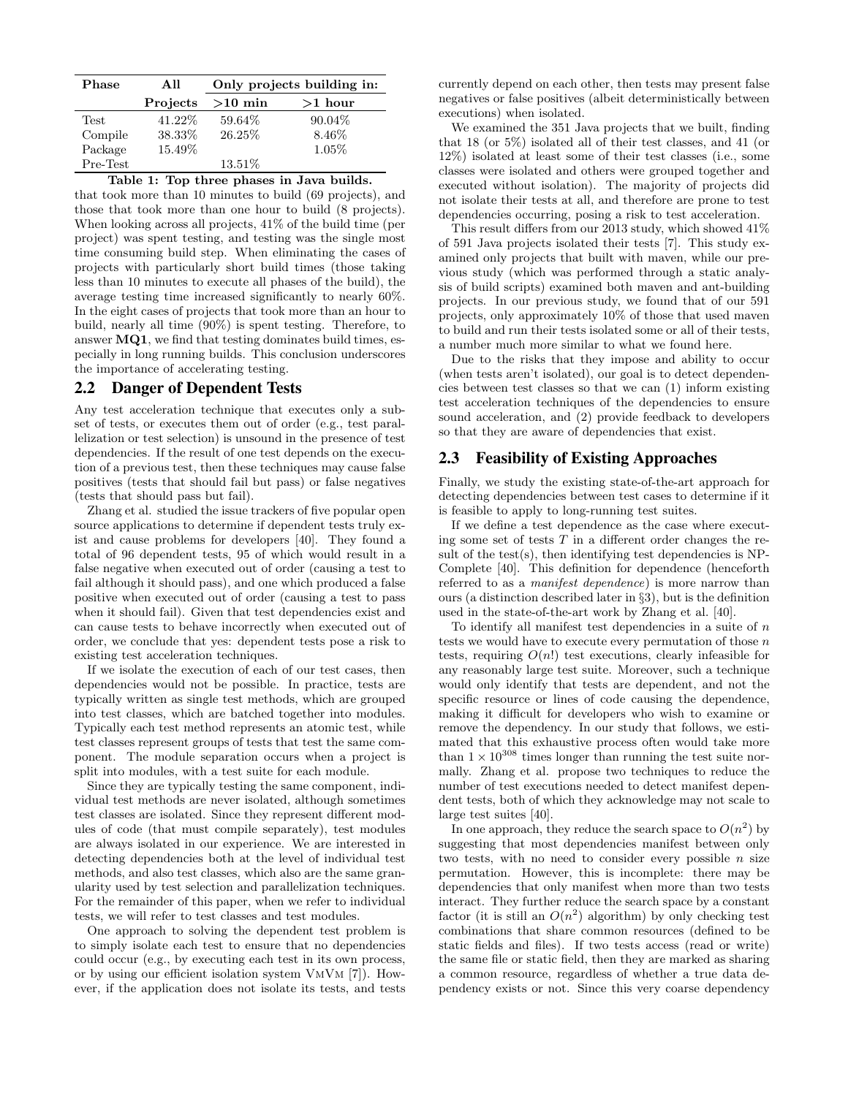| <b>Phase</b> | All      | Only projects building in: |           |  |  |  |  |  |
|--------------|----------|----------------------------|-----------|--|--|--|--|--|
|              | Projects | $>10$ min                  | $>1$ hour |  |  |  |  |  |
| Test         | 41.22\%  | 59.64%                     | $90.04\%$ |  |  |  |  |  |
| Compile      | 38.33%   | 26.25%                     | 8.46\%    |  |  |  |  |  |
| Package      | 15.49%   |                            | $1.05\%$  |  |  |  |  |  |
| Pre-Test     |          | 13.51\%                    |           |  |  |  |  |  |

Table 1: Top three phases in Java builds.

that took more than 10 minutes to build (69 projects), and those that took more than one hour to build (8 projects). When looking across all projects, 41% of the build time (per project) was spent testing, and testing was the single most time consuming build step. When eliminating the cases of projects with particularly short build times (those taking less than 10 minutes to execute all phases of the build), the average testing time increased significantly to nearly 60%. In the eight cases of projects that took more than an hour to build, nearly all time (90%) is spent testing. Therefore, to answer MQ1, we find that testing dominates build times, especially in long running builds. This conclusion underscores the importance of accelerating testing.

## 2.2 Danger of Dependent Tests

Any test acceleration technique that executes only a subset of tests, or executes them out of order (e.g., test parallelization or test selection) is unsound in the presence of test dependencies. If the result of one test depends on the execution of a previous test, then these techniques may cause false positives (tests that should fail but pass) or false negatives (tests that should pass but fail).

Zhang et al. studied the issue trackers of five popular open source applications to determine if dependent tests truly exist and cause problems for developers [40]. They found a total of 96 dependent tests, 95 of which would result in a false negative when executed out of order (causing a test to fail although it should pass), and one which produced a false positive when executed out of order (causing a test to pass when it should fail). Given that test dependencies exist and can cause tests to behave incorrectly when executed out of order, we conclude that yes: dependent tests pose a risk to existing test acceleration techniques.

If we isolate the execution of each of our test cases, then dependencies would not be possible. In practice, tests are typically written as single test methods, which are grouped into test classes, which are batched together into modules. Typically each test method represents an atomic test, while test classes represent groups of tests that test the same component. The module separation occurs when a project is split into modules, with a test suite for each module.

Since they are typically testing the same component, individual test methods are never isolated, although sometimes test classes are isolated. Since they represent different modules of code (that must compile separately), test modules are always isolated in our experience. We are interested in detecting dependencies both at the level of individual test methods, and also test classes, which also are the same granularity used by test selection and parallelization techniques. For the remainder of this paper, when we refer to individual tests, we will refer to test classes and test modules.

One approach to solving the dependent test problem is to simply isolate each test to ensure that no dependencies could occur (e.g., by executing each test in its own process, or by using our efficient isolation system VmVm [7]). However, if the application does not isolate its tests, and tests currently depend on each other, then tests may present false negatives or false positives (albeit deterministically between executions) when isolated.

We examined the 351 Java projects that we built, finding that 18 (or 5%) isolated all of their test classes, and 41 (or 12%) isolated at least some of their test classes (i.e., some classes were isolated and others were grouped together and executed without isolation). The majority of projects did not isolate their tests at all, and therefore are prone to test dependencies occurring, posing a risk to test acceleration.

This result differs from our 2013 study, which showed 41% of 591 Java projects isolated their tests [7]. This study examined only projects that built with maven, while our previous study (which was performed through a static analysis of build scripts) examined both maven and ant-building projects. In our previous study, we found that of our 591 projects, only approximately 10% of those that used maven to build and run their tests isolated some or all of their tests, a number much more similar to what we found here.

Due to the risks that they impose and ability to occur (when tests aren't isolated), our goal is to detect dependencies between test classes so that we can (1) inform existing test acceleration techniques of the dependencies to ensure sound acceleration, and (2) provide feedback to developers so that they are aware of dependencies that exist.

#### 2.3 Feasibility of Existing Approaches

Finally, we study the existing state-of-the-art approach for detecting dependencies between test cases to determine if it is feasible to apply to long-running test suites.

If we define a test dependence as the case where executing some set of tests  $T$  in a different order changes the result of the test $(s)$ , then identifying test dependencies is NP-Complete [40]. This definition for dependence (henceforth referred to as a *manifest dependence*) is more narrow than ours (a distinction described later in §3), but is the definition used in the state-of-the-art work by Zhang et al. [40].

To identify all manifest test dependencies in a suite of  $n$ tests we would have to execute every permutation of those  $n$ tests, requiring  $O(n!)$  test executions, clearly infeasible for any reasonably large test suite. Moreover, such a technique would only identify that tests are dependent, and not the specific resource or lines of code causing the dependence, making it difficult for developers who wish to examine or remove the dependency. In our study that follows, we estimated that this exhaustive process often would take more than  $1 \times 10^{308}$  times longer than running the test suite normally. Zhang et al. propose two techniques to reduce the number of test executions needed to detect manifest dependent tests, both of which they acknowledge may not scale to large test suites [40].

In one approach, they reduce the search space to  $O(n^2)$  by suggesting that most dependencies manifest between only two tests, with no need to consider every possible  $n$  size permutation. However, this is incomplete: there may be dependencies that only manifest when more than two tests interact. They further reduce the search space by a constant factor (it is still an  $O(n^2)$  algorithm) by only checking test combinations that share common resources (defined to be static fields and files). If two tests access (read or write) the same file or static field, then they are marked as sharing a common resource, regardless of whether a true data dependency exists or not. Since this very coarse dependency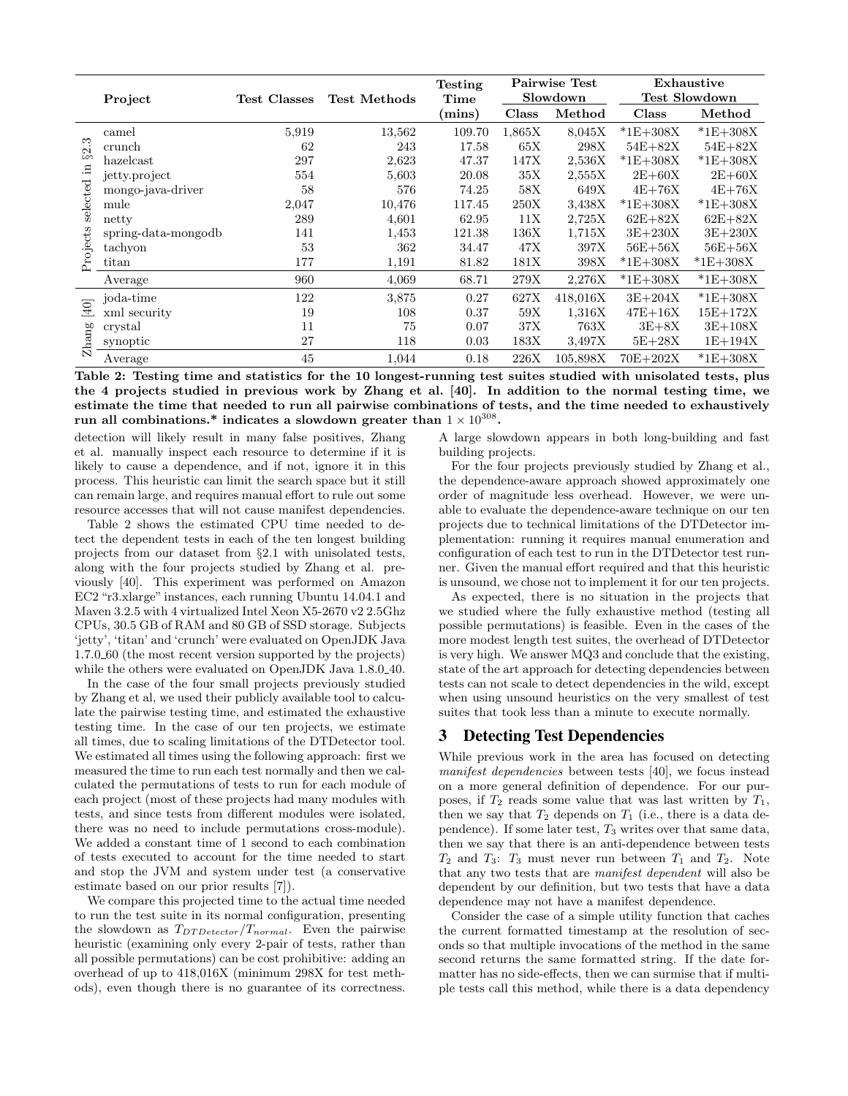|             | Project             | Test Classes | <b>Test Methods</b> | <b>Testing</b><br>Time |        | <b>Pairwise Test</b><br>Slowdown | Exhaustive<br>Test Slowdown |              |
|-------------|---------------------|--------------|---------------------|------------------------|--------|----------------------------------|-----------------------------|--------------|
|             |                     |              |                     | (mins)                 | Class  | Method                           | Class                       | Method       |
|             | camel               | 5,919        | 13,562              | 109.70                 | 1,865X | 8,045X                           | $*1E+308X$                  | $*1E+308X$   |
| 2.3         | crunch              | 62           | 243                 | 17.58                  | 65X    | 298X                             | $54E+82X$                   | $54E+82X$    |
| ಹ           | $has$ el $cast$     | 297          | 2,623               | 47.37                  | 147X   | 2,536X                           | $*1E+308X$                  | $*1E+308X$   |
|             | jetty.project       | 554          | 5,603               | 20.08                  | 35X    | 2,555X                           | $2E+60X$                    | $2E+60X$     |
| selected in | mongo-java-driver   | 58           | 576                 | 74.25                  | 58X    | 649X                             | $4E+76X$                    | $4E+76X$     |
|             | mule                | 2,047        | 10,476              | 117.45                 | 250X   | 3,438X                           | $*1E+308X$                  | $*1E+308X$   |
|             | netty               | 289          | 4,601               | 62.95                  | 11X    | 2,725X                           | $62E+82X$                   | $62E+82X$    |
|             | spring-data-mongodb | 141          | 1,453               | 121.38                 | 136X   | 1,715X                           | $3E+230X$                   | $3E+230X$    |
|             | tachyon             | 53           | 362                 | 34.47                  | 47X    | 397X                             | $56E+56X$                   | $56E+56X$    |
| Projects    | titan               | 177          | 1,191               | 81.82                  | 181X   | 398X                             | $*1E+308X$                  | $*1E + 308X$ |
|             | Average             | 960          | 4,069               | 68.71                  | 279X   | 2,276X                           | $*1E+308X$                  | $*1E+308X$   |
|             | joda-time           | 122          | 3,875               | 0.27                   | 627X   | 418,016X                         | $3E+204X$                   | $*1E+308X$   |
| $[40]$      | xml security        | 19           | 108                 | 0.37                   | 59X    | 1,316X                           | $47E+16X$                   | $15E+172X$   |
|             | crystal             | 11           | 75                  | 0.07                   | 37X    | 763X                             | $3E+8X$                     | $3E+108X$    |
| Zhang       | synoptic            | 27           | 118                 | 0.03                   | 183X   | 3,497X                           | $5E + 28X$                  | $1E+194X$    |
|             | Average             | 45           | 1,044               | 0.18                   | 226X   | 105,898X                         | $70E + 202X$                | $*1E+308X$   |

Table 2: Testing time and statistics for the 10 longest-running test suites studied with unisolated tests, plus the 4 projects studied in previous work by Zhang et al. [40]. In addition to the normal testing time, we estimate the time that needed to run all pairwise combinations of tests, and the time needed to exhaustively run all combinations.\* indicates a slowdown greater than  $1\times10^{308}.$ 

detection will likely result in many false positives, Zhang et al. manually inspect each resource to determine if it is likely to cause a dependence, and if not, ignore it in this process. This heuristic can limit the search space but it still can remain large, and requires manual effort to rule out some resource accesses that will not cause manifest dependencies.

Table 2 shows the estimated CPU time needed to detect the dependent tests in each of the ten longest building projects from our dataset from §2.1 with unisolated tests, along with the four projects studied by Zhang et al. previously [40]. This experiment was performed on Amazon EC2 "r3.xlarge" instances, each running Ubuntu 14.04.1 and Maven 3.2.5 with 4 virtualized Intel Xeon X5-2670 v2 2.5Ghz CPUs, 30.5 GB of RAM and 80 GB of SSD storage. Subjects 'jetty', 'titan' and 'crunch' were evaluated on OpenJDK Java 1.7.0 60 (the most recent version supported by the projects) while the others were evaluated on OpenJDK Java 1.8.0<sub>-40</sub>.

In the case of the four small projects previously studied by Zhang et al, we used their publicly available tool to calculate the pairwise testing time, and estimated the exhaustive testing time. In the case of our ten projects, we estimate all times, due to scaling limitations of the DTDetector tool. We estimated all times using the following approach: first we measured the time to run each test normally and then we calculated the permutations of tests to run for each module of each project (most of these projects had many modules with tests, and since tests from different modules were isolated, there was no need to include permutations cross-module). We added a constant time of 1 second to each combination of tests executed to account for the time needed to start and stop the JVM and system under test (a conservative estimate based on our prior results [7]).

We compare this projected time to the actual time needed to run the test suite in its normal configuration, presenting the slowdown as  $T_{DTDetector}/T_{normal}$ . Even the pairwise heuristic (examining only every 2-pair of tests, rather than all possible permutations) can be cost prohibitive: adding an overhead of up to 418,016X (minimum 298X for test methods), even though there is no guarantee of its correctness.

A large slowdown appears in both long-building and fast building projects.

For the four projects previously studied by Zhang et al., the dependence-aware approach showed approximately one order of magnitude less overhead. However, we were unable to evaluate the dependence-aware technique on our ten projects due to technical limitations of the DTDetector implementation: running it requires manual enumeration and configuration of each test to run in the DTDetector test runner. Given the manual effort required and that this heuristic is unsound, we chose not to implement it for our ten projects.

As expected, there is no situation in the projects that we studied where the fully exhaustive method (testing all possible permutations) is feasible. Even in the cases of the more modest length test suites, the overhead of DTDetector is very high. We answer MQ3 and conclude that the existing, state of the art approach for detecting dependencies between tests can not scale to detect dependencies in the wild, except when using unsound heuristics on the very smallest of test suites that took less than a minute to execute normally.

# 3 Detecting Test Dependencies

While previous work in the area has focused on detecting manifest dependencies between tests [40], we focus instead on a more general definition of dependence. For our purposes, if  $T_2$  reads some value that was last written by  $T_1$ , then we say that  $T_2$  depends on  $T_1$  (i.e., there is a data dependence). If some later test,  $T_3$  writes over that same data, then we say that there is an anti-dependence between tests  $T_2$  and  $T_3$ :  $T_3$  must never run between  $T_1$  and  $T_2$ . Note that any two tests that are manifest dependent will also be dependent by our definition, but two tests that have a data dependence may not have a manifest dependence.

Consider the case of a simple utility function that caches the current formatted timestamp at the resolution of seconds so that multiple invocations of the method in the same second returns the same formatted string. If the date formatter has no side-effects, then we can surmise that if multiple tests call this method, while there is a data dependency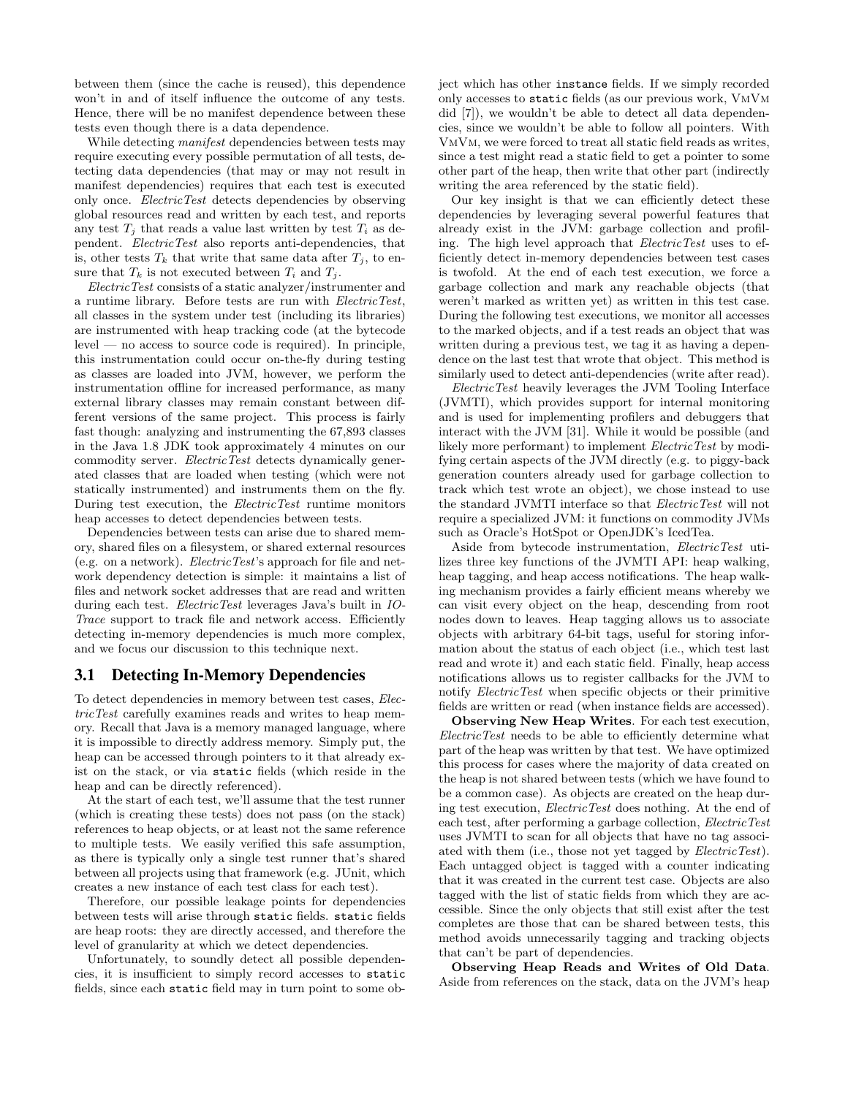between them (since the cache is reused), this dependence won't in and of itself influence the outcome of any tests. Hence, there will be no manifest dependence between these tests even though there is a data dependence.

While detecting *manifest* dependencies between tests may require executing every possible permutation of all tests, detecting data dependencies (that may or may not result in manifest dependencies) requires that each test is executed only once. ElectricTest detects dependencies by observing global resources read and written by each test, and reports any test  $T_i$  that reads a value last written by test  $T_i$  as dependent. ElectricTest also reports anti-dependencies, that is, other tests  $T_k$  that write that same data after  $T_i$ , to ensure that  $T_k$  is not executed between  $T_i$  and  $T_j$ .

ElectricTest consists of a static analyzer/instrumenter and a runtime library. Before tests are run with ElectricTest, all classes in the system under test (including its libraries) are instrumented with heap tracking code (at the bytecode  $level$  — no access to source code is required). In principle, this instrumentation could occur on-the-fly during testing as classes are loaded into JVM, however, we perform the instrumentation offline for increased performance, as many external library classes may remain constant between different versions of the same project. This process is fairly fast though: analyzing and instrumenting the 67,893 classes in the Java 1.8 JDK took approximately 4 minutes on our commodity server. ElectricTest detects dynamically generated classes that are loaded when testing (which were not statically instrumented) and instruments them on the fly. During test execution, the ElectricTest runtime monitors heap accesses to detect dependencies between tests.

Dependencies between tests can arise due to shared memory, shared files on a filesystem, or shared external resources (e.g. on a network). ElectricTest's approach for file and network dependency detection is simple: it maintains a list of files and network socket addresses that are read and written during each test. *ElectricTest* leverages Java's built in *IO*-Trace support to track file and network access. Efficiently detecting in-memory dependencies is much more complex, and we focus our discussion to this technique next.

#### 3.1 Detecting In-Memory Dependencies

To detect dependencies in memory between test cases, ElectricTest carefully examines reads and writes to heap memory. Recall that Java is a memory managed language, where it is impossible to directly address memory. Simply put, the heap can be accessed through pointers to it that already exist on the stack, or via static fields (which reside in the heap and can be directly referenced).

At the start of each test, we'll assume that the test runner (which is creating these tests) does not pass (on the stack) references to heap objects, or at least not the same reference to multiple tests. We easily verified this safe assumption, as there is typically only a single test runner that's shared between all projects using that framework (e.g. JUnit, which creates a new instance of each test class for each test).

Therefore, our possible leakage points for dependencies between tests will arise through static fields. static fields are heap roots: they are directly accessed, and therefore the level of granularity at which we detect dependencies.

Unfortunately, to soundly detect all possible dependencies, it is insufficient to simply record accesses to static fields, since each static field may in turn point to some object which has other instance fields. If we simply recorded only accesses to static fields (as our previous work, VmVm did [7]), we wouldn't be able to detect all data dependencies, since we wouldn't be able to follow all pointers. With VmVm, we were forced to treat all static field reads as writes, since a test might read a static field to get a pointer to some other part of the heap, then write that other part (indirectly writing the area referenced by the static field).

Our key insight is that we can efficiently detect these dependencies by leveraging several powerful features that already exist in the JVM: garbage collection and profiling. The high level approach that *ElectricTest* uses to efficiently detect in-memory dependencies between test cases is twofold. At the end of each test execution, we force a garbage collection and mark any reachable objects (that weren't marked as written yet) as written in this test case. During the following test executions, we monitor all accesses to the marked objects, and if a test reads an object that was written during a previous test, we tag it as having a dependence on the last test that wrote that object. This method is similarly used to detect anti-dependencies (write after read).

ElectricTest heavily leverages the JVM Tooling Interface (JVMTI), which provides support for internal monitoring and is used for implementing profilers and debuggers that interact with the JVM [31]. While it would be possible (and likely more performant) to implement *ElectricTest* by modifying certain aspects of the JVM directly (e.g. to piggy-back generation counters already used for garbage collection to track which test wrote an object), we chose instead to use the standard JVMTI interface so that ElectricTest will not require a specialized JVM: it functions on commodity JVMs such as Oracle's HotSpot or OpenJDK's IcedTea.

Aside from bytecode instrumentation, ElectricTest utilizes three key functions of the JVMTI API: heap walking, heap tagging, and heap access notifications. The heap walking mechanism provides a fairly efficient means whereby we can visit every object on the heap, descending from root nodes down to leaves. Heap tagging allows us to associate objects with arbitrary 64-bit tags, useful for storing information about the status of each object (i.e., which test last read and wrote it) and each static field. Finally, heap access notifications allows us to register callbacks for the JVM to notify ElectricTest when specific objects or their primitive fields are written or read (when instance fields are accessed).

Observing New Heap Writes. For each test execution, ElectricTest needs to be able to efficiently determine what part of the heap was written by that test. We have optimized this process for cases where the majority of data created on the heap is not shared between tests (which we have found to be a common case). As objects are created on the heap during test execution, ElectricTest does nothing. At the end of each test, after performing a garbage collection, *ElectricTest* uses JVMTI to scan for all objects that have no tag associated with them (i.e., those not yet tagged by ElectricTest). Each untagged object is tagged with a counter indicating that it was created in the current test case. Objects are also tagged with the list of static fields from which they are accessible. Since the only objects that still exist after the test completes are those that can be shared between tests, this method avoids unnecessarily tagging and tracking objects that can't be part of dependencies.

Observing Heap Reads and Writes of Old Data. Aside from references on the stack, data on the JVM's heap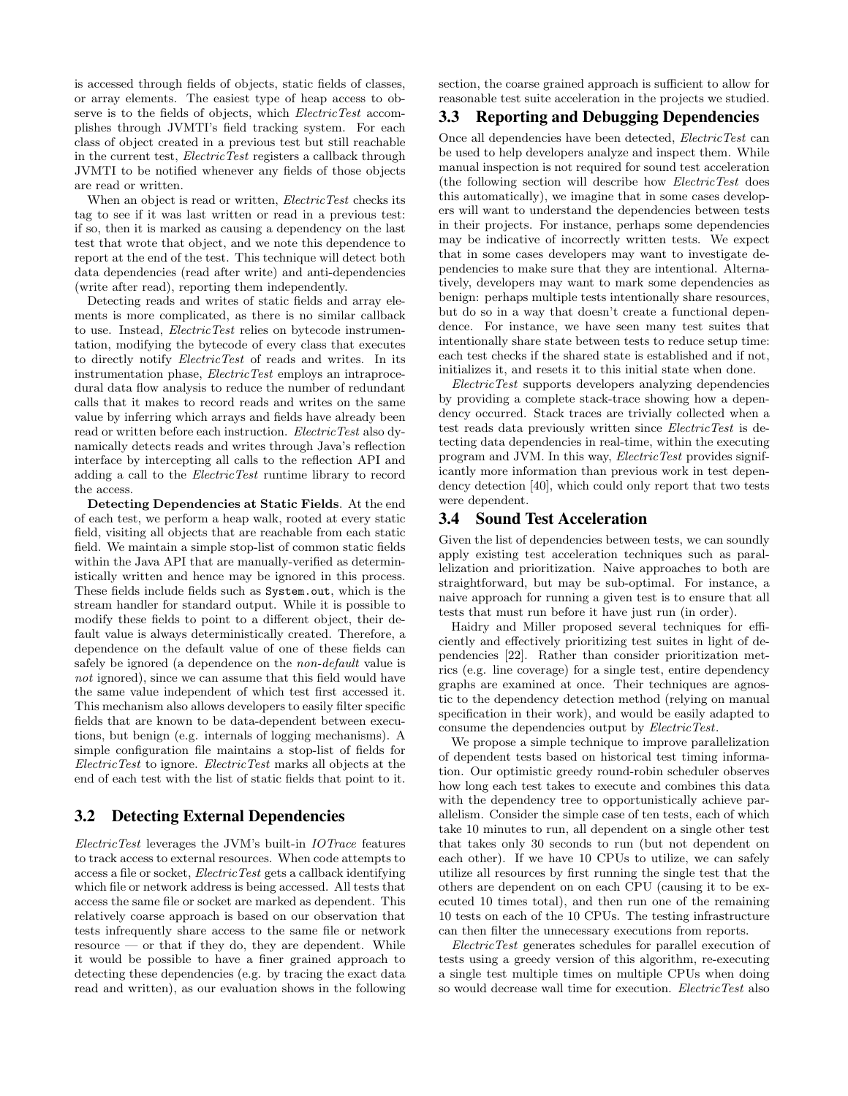is accessed through fields of objects, static fields of classes, or array elements. The easiest type of heap access to observe is to the fields of objects, which *ElectricTest* accomplishes through JVMTI's field tracking system. For each class of object created in a previous test but still reachable in the current test, ElectricTest registers a callback through JVMTI to be notified whenever any fields of those objects are read or written.

When an object is read or written, *ElectricTest* checks its tag to see if it was last written or read in a previous test: if so, then it is marked as causing a dependency on the last test that wrote that object, and we note this dependence to report at the end of the test. This technique will detect both data dependencies (read after write) and anti-dependencies (write after read), reporting them independently.

Detecting reads and writes of static fields and array elements is more complicated, as there is no similar callback to use. Instead, *ElectricTest* relies on bytecode instrumentation, modifying the bytecode of every class that executes to directly notify ElectricTest of reads and writes. In its instrumentation phase, ElectricTest employs an intraprocedural data flow analysis to reduce the number of redundant calls that it makes to record reads and writes on the same value by inferring which arrays and fields have already been read or written before each instruction. ElectricTest also dynamically detects reads and writes through Java's reflection interface by intercepting all calls to the reflection API and adding a call to the *ElectricTest* runtime library to record the access.

Detecting Dependencies at Static Fields. At the end of each test, we perform a heap walk, rooted at every static field, visiting all objects that are reachable from each static field. We maintain a simple stop-list of common static fields within the Java API that are manually-verified as deterministically written and hence may be ignored in this process. These fields include fields such as System.out, which is the stream handler for standard output. While it is possible to modify these fields to point to a different object, their default value is always deterministically created. Therefore, a dependence on the default value of one of these fields can safely be ignored (a dependence on the non-default value is not ignored), since we can assume that this field would have the same value independent of which test first accessed it. This mechanism also allows developers to easily filter specific fields that are known to be data-dependent between executions, but benign (e.g. internals of logging mechanisms). A simple configuration file maintains a stop-list of fields for ElectricTest to ignore. ElectricTest marks all objects at the end of each test with the list of static fields that point to it.

#### 3.2 Detecting External Dependencies

ElectricTest leverages the JVM's built-in IOTrace features to track access to external resources. When code attempts to access a file or socket, ElectricTest gets a callback identifying which file or network address is being accessed. All tests that access the same file or socket are marked as dependent. This relatively coarse approach is based on our observation that tests infrequently share access to the same file or network resource — or that if they do, they are dependent. While it would be possible to have a finer grained approach to detecting these dependencies (e.g. by tracing the exact data read and written), as our evaluation shows in the following

section, the coarse grained approach is sufficient to allow for reasonable test suite acceleration in the projects we studied.

# 3.3 Reporting and Debugging Dependencies

Once all dependencies have been detected, ElectricTest can be used to help developers analyze and inspect them. While manual inspection is not required for sound test acceleration (the following section will describe how ElectricTest does this automatically), we imagine that in some cases developers will want to understand the dependencies between tests in their projects. For instance, perhaps some dependencies may be indicative of incorrectly written tests. We expect that in some cases developers may want to investigate dependencies to make sure that they are intentional. Alternatively, developers may want to mark some dependencies as benign: perhaps multiple tests intentionally share resources, but do so in a way that doesn't create a functional dependence. For instance, we have seen many test suites that intentionally share state between tests to reduce setup time: each test checks if the shared state is established and if not, initializes it, and resets it to this initial state when done.

ElectricTest supports developers analyzing dependencies by providing a complete stack-trace showing how a dependency occurred. Stack traces are trivially collected when a test reads data previously written since ElectricTest is detecting data dependencies in real-time, within the executing program and JVM. In this way, ElectricTest provides significantly more information than previous work in test dependency detection [40], which could only report that two tests were dependent.

#### 3.4 Sound Test Acceleration

Given the list of dependencies between tests, we can soundly apply existing test acceleration techniques such as parallelization and prioritization. Naive approaches to both are straightforward, but may be sub-optimal. For instance, a naive approach for running a given test is to ensure that all tests that must run before it have just run (in order).

Haidry and Miller proposed several techniques for efficiently and effectively prioritizing test suites in light of dependencies [22]. Rather than consider prioritization metrics (e.g. line coverage) for a single test, entire dependency graphs are examined at once. Their techniques are agnostic to the dependency detection method (relying on manual specification in their work), and would be easily adapted to consume the dependencies output by ElectricTest.

We propose a simple technique to improve parallelization of dependent tests based on historical test timing information. Our optimistic greedy round-robin scheduler observes how long each test takes to execute and combines this data with the dependency tree to opportunistically achieve parallelism. Consider the simple case of ten tests, each of which take 10 minutes to run, all dependent on a single other test that takes only 30 seconds to run (but not dependent on each other). If we have 10 CPUs to utilize, we can safely utilize all resources by first running the single test that the others are dependent on on each CPU (causing it to be executed 10 times total), and then run one of the remaining 10 tests on each of the 10 CPUs. The testing infrastructure can then filter the unnecessary executions from reports.

ElectricTest generates schedules for parallel execution of tests using a greedy version of this algorithm, re-executing a single test multiple times on multiple CPUs when doing so would decrease wall time for execution. *ElectricTest* also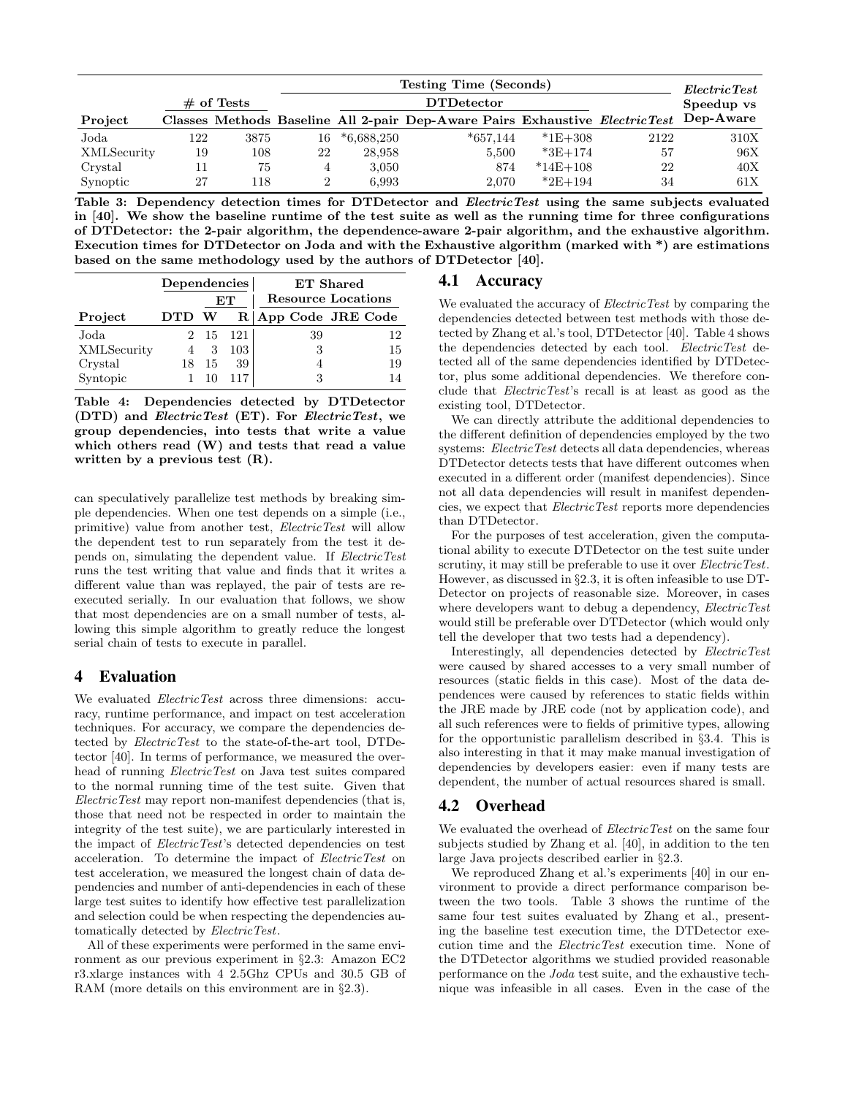|             |     |               |    | <b>Testing Time (Seconds)</b> | Electric Test                                                               |            |            |           |
|-------------|-----|---------------|----|-------------------------------|-----------------------------------------------------------------------------|------------|------------|-----------|
|             |     | $\#$ of Tests |    |                               | <b>DTDetector</b>                                                           |            | Speedup vs |           |
| Project     |     |               |    |                               | Classes Methods Baseline All 2-pair Dep-Aware Pairs Exhaustive ElectricTest |            |            | Dep-Aware |
| Joda        | 122 | 3875          | 16 | $*6,688,250$                  | $*657,144$                                                                  | $*1E+308$  | 2122       | 310X      |
| XMLSecurity | 19  | 108           | 22 | 28,958                        | 5,500                                                                       | $*3E+174$  | 57         | 96X       |
| Crystal     |     | 75            | 4  | 3,050                         | 874                                                                         | $*14E+108$ | 22         | 40X       |
| Synoptic    | 27  | 118           |    | 6,993                         | 2.070                                                                       | $*2E+194$  | 34         | 61X       |

Table 3: Dependency detection times for DTDetector and *ElectricTest* using the same subjects evaluated in [40]. We show the baseline runtime of the test suite as well as the running time for three configurations of DTDetector: the 2-pair algorithm, the dependence-aware 2-pair algorithm, and the exhaustive algorithm. Execution times for DTDetector on Joda and with the Exhaustive algorithm (marked with \*) are estimations based on the same methodology used by the authors of DTDetector [40].

|             | Dependencies |      |      | ET Shared                 |    |                   |  |  |  |
|-------------|--------------|------|------|---------------------------|----|-------------------|--|--|--|
|             |              |      | EТ   | <b>Resource Locations</b> |    |                   |  |  |  |
| Project     | DTD          | W    | R    |                           |    | App Code JRE Code |  |  |  |
| Joda        |              | - 15 | -121 |                           | 39 | 12                |  |  |  |
| XMLSecurity |              | 3    | 103  |                           |    | 15                |  |  |  |
| Crystal     |              | 15   | 39   |                           |    | 19                |  |  |  |
| Syntopic    |              |      |      |                           |    |                   |  |  |  |

Table 4: Dependencies detected by DTDetector (DTD) and ElectricTest (ET). For ElectricTest, we group dependencies, into tests that write a value which others read (W) and tests that read a value written by a previous test (R).

can speculatively parallelize test methods by breaking simple dependencies. When one test depends on a simple (i.e., primitive) value from another test, ElectricTest will allow the dependent test to run separately from the test it depends on, simulating the dependent value. If ElectricTest runs the test writing that value and finds that it writes a different value than was replayed, the pair of tests are reexecuted serially. In our evaluation that follows, we show that most dependencies are on a small number of tests, allowing this simple algorithm to greatly reduce the longest serial chain of tests to execute in parallel.

# 4 Evaluation

We evaluated *ElectricTest* across three dimensions: accuracy, runtime performance, and impact on test acceleration techniques. For accuracy, we compare the dependencies detected by ElectricTest to the state-of-the-art tool, DTDetector [40]. In terms of performance, we measured the overhead of running ElectricTest on Java test suites compared to the normal running time of the test suite. Given that ElectricTest may report non-manifest dependencies (that is, those that need not be respected in order to maintain the integrity of the test suite), we are particularly interested in the impact of ElectricTest's detected dependencies on test acceleration. To determine the impact of ElectricTest on test acceleration, we measured the longest chain of data dependencies and number of anti-dependencies in each of these large test suites to identify how effective test parallelization and selection could be when respecting the dependencies automatically detected by ElectricTest.

All of these experiments were performed in the same environment as our previous experiment in §2.3: Amazon EC2 r3.xlarge instances with 4 2.5Ghz CPUs and 30.5 GB of RAM (more details on this environment are in §2.3).

## 4.1 Accuracy

We evaluated the accuracy of *ElectricTest* by comparing the dependencies detected between test methods with those detected by Zhang et al.'s tool, DTDetector [40]. Table 4 shows the dependencies detected by each tool. ElectricTest detected all of the same dependencies identified by DTDetector, plus some additional dependencies. We therefore conclude that ElectricTest's recall is at least as good as the existing tool, DTDetector.

We can directly attribute the additional dependencies to the different definition of dependencies employed by the two systems: ElectricTest detects all data dependencies, whereas DTDetector detects tests that have different outcomes when executed in a different order (manifest dependencies). Since not all data dependencies will result in manifest dependencies, we expect that ElectricTest reports more dependencies than DTDetector.

For the purposes of test acceleration, given the computational ability to execute DTDetector on the test suite under scrutiny, it may still be preferable to use it over *ElectricTest*. However, as discussed in §2.3, it is often infeasible to use DT-Detector on projects of reasonable size. Moreover, in cases where developers want to debug a dependency, ElectricTest would still be preferable over DTDetector (which would only tell the developer that two tests had a dependency).

Interestingly, all dependencies detected by ElectricTest were caused by shared accesses to a very small number of resources (static fields in this case). Most of the data dependences were caused by references to static fields within the JRE made by JRE code (not by application code), and all such references were to fields of primitive types, allowing for the opportunistic parallelism described in §3.4. This is also interesting in that it may make manual investigation of dependencies by developers easier: even if many tests are dependent, the number of actual resources shared is small.

# 4.2 Overhead

We evaluated the overhead of *ElectricTest* on the same four subjects studied by Zhang et al. [40], in addition to the ten large Java projects described earlier in §2.3.

We reproduced Zhang et al.'s experiments [40] in our environment to provide a direct performance comparison between the two tools. Table 3 shows the runtime of the same four test suites evaluated by Zhang et al., presenting the baseline test execution time, the DTDetector execution time and the ElectricTest execution time. None of the DTDetector algorithms we studied provided reasonable performance on the Joda test suite, and the exhaustive technique was infeasible in all cases. Even in the case of the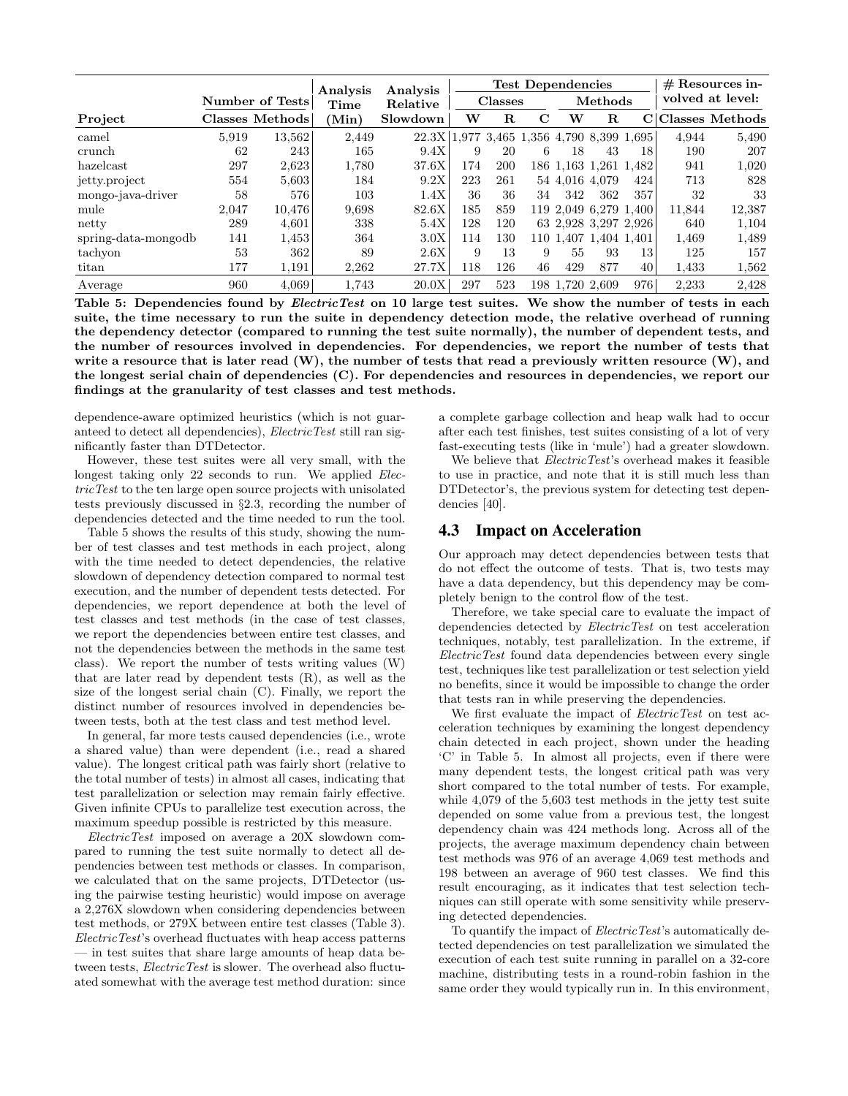|                     |       |                 | Analysis | <b>Test Dependencies</b>                  |                |             |         |                |                       | $#$ Resources in- |        |                 |
|---------------------|-------|-----------------|----------|-------------------------------------------|----------------|-------------|---------|----------------|-----------------------|-------------------|--------|-----------------|
|                     |       | Number of Tests | Time     | Analysis<br>Relative                      | <b>Classes</b> |             | Methods |                |                       | volved at level:  |        |                 |
| Project             |       | Classes Methods | (Min)    | Slowdown                                  | w              | $\mathbf R$ | C       | w              | $\mathbf R$           | C                 |        | Classes Methods |
| camel               | 5.919 | 13,562          | 2,449    | 22.3X 1.977 3.465 1.356 4.790 8.399 1.695 |                |             |         |                |                       |                   | 4,944  | 5,490           |
| crunch              | 62    | 243             | 165      | 9.4X                                      | 9              | 20          | 6       | 18             | 43                    | 18                | 190    | 207             |
| hazelcast           | 297   | 2,623           | 1,780    | 37.6X                                     | 174            | 200         |         |                | 186 1.163 1.261 1.482 |                   | 941    | 1,020           |
| jetty.project       | 554   | 5,603           | 184      | 9.2X                                      | 223            | 261         |         | 54 4.016 4.079 |                       | 424               | 713    | 828             |
| mongo-java-driver   | 58    | 576             | 103      | 1.4X                                      | 36             | 36          | 34      | 342            | 362                   | 357               | 32     | 33              |
| mule                | 2,047 | 10.476          | 9.698    | 82.6X                                     | 185            | 859         |         |                | 119 2.049 6.279 1.400 |                   | 11,844 | 12,387          |
| netty               | 289   | 4,601           | 338      | 5.4X                                      | 128            | 120         |         |                | 63 2,928 3,297 2,926  |                   | 640    | 1,104           |
| spring-data-mongodb | 141   | 1,453           | 364      | 3.0X                                      | 114            | 130         |         |                | 110 1.407 1.404 1.401 |                   | 1,469  | 1,489           |
| tachyon             | 53    | 362             | 89       | 2.6X                                      | 9              | 13          | 9       | 55             | 93                    | 13                | 125    | 157             |
| titan               | 177   | 1,191           | 2.262    | 27.7X                                     | 118            | 126         | 46      | 429            | 877                   | 40                | 1.433  | 1,562           |
| Average             | 960   | 4.069           | 1.743    | 20.0X                                     | 297            | 523         | 198     | 1.720 2.609    |                       | 976               | 2.233  | 2,428           |

Table 5: Dependencies found by *ElectricTest* on 10 large test suites. We show the number of tests in each suite, the time necessary to run the suite in dependency detection mode, the relative overhead of running the dependency detector (compared to running the test suite normally), the number of dependent tests, and the number of resources involved in dependencies. For dependencies, we report the number of tests that write a resource that is later read (W), the number of tests that read a previously written resource (W), and the longest serial chain of dependencies (C). For dependencies and resources in dependencies, we report our findings at the granularity of test classes and test methods.

dependence-aware optimized heuristics (which is not guaranteed to detect all dependencies), ElectricTest still ran significantly faster than DTDetector.

However, these test suites were all very small, with the longest taking only 22 seconds to run. We applied *Elec*tricTest to the ten large open source projects with unisolated tests previously discussed in §2.3, recording the number of dependencies detected and the time needed to run the tool.

Table 5 shows the results of this study, showing the number of test classes and test methods in each project, along with the time needed to detect dependencies, the relative slowdown of dependency detection compared to normal test execution, and the number of dependent tests detected. For dependencies, we report dependence at both the level of test classes and test methods (in the case of test classes, we report the dependencies between entire test classes, and not the dependencies between the methods in the same test class). We report the number of tests writing values (W) that are later read by dependent tests (R), as well as the size of the longest serial chain (C). Finally, we report the distinct number of resources involved in dependencies between tests, both at the test class and test method level.

In general, far more tests caused dependencies (i.e., wrote a shared value) than were dependent (i.e., read a shared value). The longest critical path was fairly short (relative to the total number of tests) in almost all cases, indicating that test parallelization or selection may remain fairly effective. Given infinite CPUs to parallelize test execution across, the maximum speedup possible is restricted by this measure.

ElectricTest imposed on average a 20X slowdown compared to running the test suite normally to detect all dependencies between test methods or classes. In comparison, we calculated that on the same projects, DTDetector (using the pairwise testing heuristic) would impose on average a 2,276X slowdown when considering dependencies between test methods, or 279X between entire test classes (Table 3). ElectricTest's overhead fluctuates with heap access patterns — in test suites that share large amounts of heap data between tests, *ElectricTest* is slower. The overhead also fluctuated somewhat with the average test method duration: since a complete garbage collection and heap walk had to occur after each test finishes, test suites consisting of a lot of very fast-executing tests (like in 'mule') had a greater slowdown.

We believe that *ElectricTest's* overhead makes it feasible to use in practice, and note that it is still much less than DTDetector's, the previous system for detecting test dependencies [40].

#### 4.3 Impact on Acceleration

Our approach may detect dependencies between tests that do not effect the outcome of tests. That is, two tests may have a data dependency, but this dependency may be completely benign to the control flow of the test.

Therefore, we take special care to evaluate the impact of dependencies detected by ElectricTest on test acceleration techniques, notably, test parallelization. In the extreme, if ElectricTest found data dependencies between every single test, techniques like test parallelization or test selection yield no benefits, since it would be impossible to change the order that tests ran in while preserving the dependencies.

We first evaluate the impact of ElectricTest on test acceleration techniques by examining the longest dependency chain detected in each project, shown under the heading 'C' in Table 5. In almost all projects, even if there were many dependent tests, the longest critical path was very short compared to the total number of tests. For example, while 4,079 of the 5,603 test methods in the jetty test suite depended on some value from a previous test, the longest dependency chain was 424 methods long. Across all of the projects, the average maximum dependency chain between test methods was 976 of an average 4,069 test methods and 198 between an average of 960 test classes. We find this result encouraging, as it indicates that test selection techniques can still operate with some sensitivity while preserving detected dependencies.

To quantify the impact of *ElectricTest's* automatically detected dependencies on test parallelization we simulated the execution of each test suite running in parallel on a 32-core machine, distributing tests in a round-robin fashion in the same order they would typically run in. In this environment,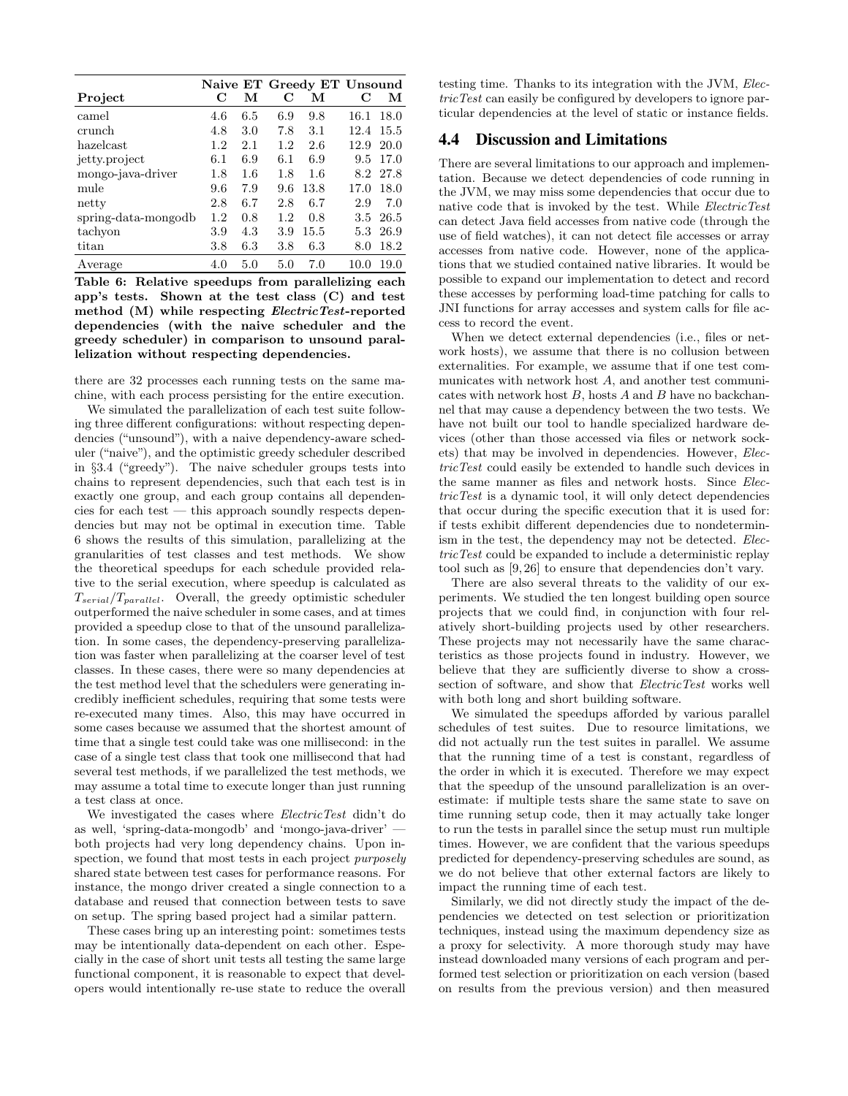|                     |         |     |             | Naive ET Greedy ET Unsound |      |          |
|---------------------|---------|-----|-------------|----------------------------|------|----------|
| Project             | С       | М   | $\mathbf C$ | М                          | С    | М        |
| camel               | 4.6     | 6.5 | 6.9         | 9.8                        | 16.1 | 18.0     |
| crunch              | 4.8     | 3.0 | 7.8         | 3.1                        | 12.4 | 15.5     |
| hazelcast           | $1.2\,$ | 2.1 | 1.2         | 2.6                        | 12.9 | 20.0     |
| jetty.project       | 6.1     | 6.9 | 6.1         | 6.9                        | 9.5  | 17.0     |
| mongo-java-driver   | 1.8     | 1.6 | 1.8         | 1.6                        | 8.2  | -27.8    |
| mule                | 9.6     | 7.9 | 9.6         | 13.8                       | 17.0 | 18.0     |
| netty               | 2.8     | 6.7 | 2.8         | 6.7                        | 2.9  | 7.0      |
| spring-data-mongodb | 1.2     | 0.8 | 1.2         | 0.8                        |      | 3.5 26.5 |
| tachyon             | 3.9     | 4.3 | 3.9         | 15.5                       | 5.3  | 26.9     |
| titan               | $3.8\,$ | 6.3 | $3.8\,$     | 6.3                        | 8.0  | 18.2     |
| Average             | 4.0     | 5.0 | 5.0         | 7.0                        | 10.0 | 19.0     |

Table 6: Relative speedups from parallelizing each app's tests. Shown at the test class (C) and test method (M) while respecting ElectricTest-reported dependencies (with the naive scheduler and the greedy scheduler) in comparison to unsound parallelization without respecting dependencies.

there are 32 processes each running tests on the same machine, with each process persisting for the entire execution.

We simulated the parallelization of each test suite following three different configurations: without respecting dependencies ("unsound"), with a naive dependency-aware scheduler ("naive"), and the optimistic greedy scheduler described in §3.4 ("greedy"). The naive scheduler groups tests into chains to represent dependencies, such that each test is in exactly one group, and each group contains all dependencies for each test — this approach soundly respects dependencies but may not be optimal in execution time. Table 6 shows the results of this simulation, parallelizing at the granularities of test classes and test methods. We show the theoretical speedups for each schedule provided relative to the serial execution, where speedup is calculated as  $T_{serial}/T_{parallel}$ . Overall, the greedy optimistic scheduler outperformed the naive scheduler in some cases, and at times provided a speedup close to that of the unsound parallelization. In some cases, the dependency-preserving parallelization was faster when parallelizing at the coarser level of test classes. In these cases, there were so many dependencies at the test method level that the schedulers were generating incredibly inefficient schedules, requiring that some tests were re-executed many times. Also, this may have occurred in some cases because we assumed that the shortest amount of time that a single test could take was one millisecond: in the case of a single test class that took one millisecond that had several test methods, if we parallelized the test methods, we may assume a total time to execute longer than just running a test class at once.

We investigated the cases where *ElectricTest* didn't do as well, 'spring-data-mongodb' and 'mongo-java-driver' both projects had very long dependency chains. Upon inspection, we found that most tests in each project *purposely* shared state between test cases for performance reasons. For instance, the mongo driver created a single connection to a database and reused that connection between tests to save on setup. The spring based project had a similar pattern.

These cases bring up an interesting point: sometimes tests may be intentionally data-dependent on each other. Especially in the case of short unit tests all testing the same large functional component, it is reasonable to expect that developers would intentionally re-use state to reduce the overall testing time. Thanks to its integration with the JVM, ElectricTest can easily be configured by developers to ignore particular dependencies at the level of static or instance fields.

## 4.4 Discussion and Limitations

There are several limitations to our approach and implementation. Because we detect dependencies of code running in the JVM, we may miss some dependencies that occur due to native code that is invoked by the test. While ElectricTest can detect Java field accesses from native code (through the use of field watches), it can not detect file accesses or array accesses from native code. However, none of the applications that we studied contained native libraries. It would be possible to expand our implementation to detect and record these accesses by performing load-time patching for calls to JNI functions for array accesses and system calls for file access to record the event.

When we detect external dependencies (i.e., files or network hosts), we assume that there is no collusion between externalities. For example, we assume that if one test communicates with network host A, and another test communicates with network host  $B$ , hosts  $A$  and  $B$  have no backchannel that may cause a dependency between the two tests. We have not built our tool to handle specialized hardware devices (other than those accessed via files or network sockets) that may be involved in dependencies. However, ElectricTest could easily be extended to handle such devices in the same manner as files and network hosts. Since ElectricTest is a dynamic tool, it will only detect dependencies that occur during the specific execution that it is used for: if tests exhibit different dependencies due to nondeterminism in the test, the dependency may not be detected. ElectricTest could be expanded to include a deterministic replay tool such as [9, 26] to ensure that dependencies don't vary.

There are also several threats to the validity of our experiments. We studied the ten longest building open source projects that we could find, in conjunction with four relatively short-building projects used by other researchers. These projects may not necessarily have the same characteristics as those projects found in industry. However, we believe that they are sufficiently diverse to show a crosssection of software, and show that ElectricTest works well with both long and short building software.

We simulated the speedups afforded by various parallel schedules of test suites. Due to resource limitations, we did not actually run the test suites in parallel. We assume that the running time of a test is constant, regardless of the order in which it is executed. Therefore we may expect that the speedup of the unsound parallelization is an overestimate: if multiple tests share the same state to save on time running setup code, then it may actually take longer to run the tests in parallel since the setup must run multiple times. However, we are confident that the various speedups predicted for dependency-preserving schedules are sound, as we do not believe that other external factors are likely to impact the running time of each test.

Similarly, we did not directly study the impact of the dependencies we detected on test selection or prioritization techniques, instead using the maximum dependency size as a proxy for selectivity. A more thorough study may have instead downloaded many versions of each program and performed test selection or prioritization on each version (based on results from the previous version) and then measured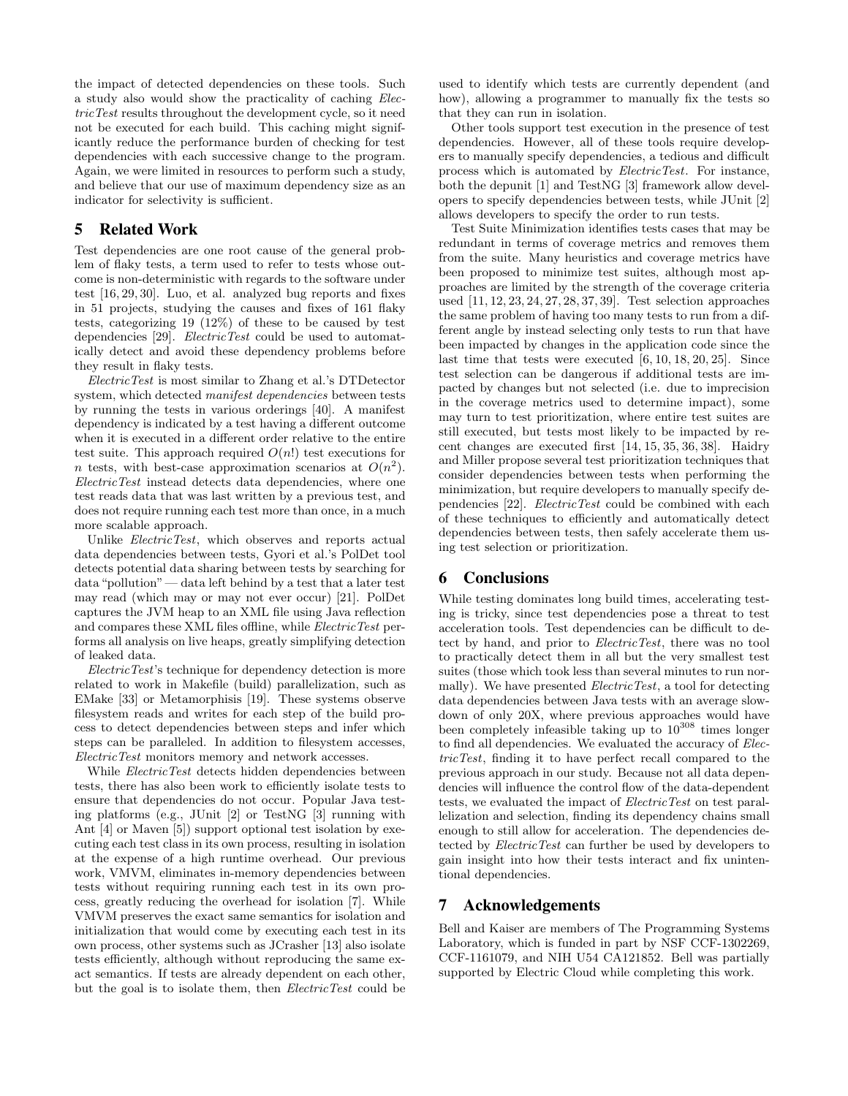the impact of detected dependencies on these tools. Such a study also would show the practicality of caching ElectricTest results throughout the development cycle, so it need not be executed for each build. This caching might significantly reduce the performance burden of checking for test dependencies with each successive change to the program. Again, we were limited in resources to perform such a study, and believe that our use of maximum dependency size as an indicator for selectivity is sufficient.

## 5 Related Work

Test dependencies are one root cause of the general problem of flaky tests, a term used to refer to tests whose outcome is non-deterministic with regards to the software under test [16, 29, 30]. Luo, et al. analyzed bug reports and fixes in 51 projects, studying the causes and fixes of 161 flaky tests, categorizing 19 (12%) of these to be caused by test dependencies [29]. *ElectricTest* could be used to automatically detect and avoid these dependency problems before they result in flaky tests.

ElectricTest is most similar to Zhang et al.'s DTDetector system, which detected manifest dependencies between tests by running the tests in various orderings [40]. A manifest dependency is indicated by a test having a different outcome when it is executed in a different order relative to the entire test suite. This approach required  $O(n!)$  test executions for *n* tests, with best-case approximation scenarios at  $O(n^2)$ . ElectricTest instead detects data dependencies, where one test reads data that was last written by a previous test, and does not require running each test more than once, in a much more scalable approach.

Unlike ElectricTest, which observes and reports actual data dependencies between tests, Gyori et al.'s PolDet tool detects potential data sharing between tests by searching for data "pollution"— data left behind by a test that a later test may read (which may or may not ever occur) [21]. PolDet captures the JVM heap to an XML file using Java reflection and compares these XML files offline, while *ElectricTest* performs all analysis on live heaps, greatly simplifying detection of leaked data.

ElectricTest's technique for dependency detection is more related to work in Makefile (build) parallelization, such as EMake [33] or Metamorphisis [19]. These systems observe filesystem reads and writes for each step of the build process to detect dependencies between steps and infer which steps can be paralleled. In addition to filesystem accesses, ElectricTest monitors memory and network accesses.

While *ElectricTest* detects hidden dependencies between tests, there has also been work to efficiently isolate tests to ensure that dependencies do not occur. Popular Java testing platforms (e.g., JUnit [2] or TestNG [3] running with Ant [4] or Maven [5]) support optional test isolation by executing each test class in its own process, resulting in isolation at the expense of a high runtime overhead. Our previous work, VMVM, eliminates in-memory dependencies between tests without requiring running each test in its own process, greatly reducing the overhead for isolation [7]. While VMVM preserves the exact same semantics for isolation and initialization that would come by executing each test in its own process, other systems such as JCrasher [13] also isolate tests efficiently, although without reproducing the same exact semantics. If tests are already dependent on each other, but the goal is to isolate them, then ElectricTest could be used to identify which tests are currently dependent (and how), allowing a programmer to manually fix the tests so that they can run in isolation.

Other tools support test execution in the presence of test dependencies. However, all of these tools require developers to manually specify dependencies, a tedious and difficult process which is automated by ElectricTest. For instance, both the depunit [1] and TestNG [3] framework allow developers to specify dependencies between tests, while JUnit [2] allows developers to specify the order to run tests.

Test Suite Minimization identifies tests cases that may be redundant in terms of coverage metrics and removes them from the suite. Many heuristics and coverage metrics have been proposed to minimize test suites, although most approaches are limited by the strength of the coverage criteria used [11, 12, 23, 24, 27, 28, 37, 39]. Test selection approaches the same problem of having too many tests to run from a different angle by instead selecting only tests to run that have been impacted by changes in the application code since the last time that tests were executed [6, 10, 18, 20, 25]. Since test selection can be dangerous if additional tests are impacted by changes but not selected (i.e. due to imprecision in the coverage metrics used to determine impact), some may turn to test prioritization, where entire test suites are still executed, but tests most likely to be impacted by recent changes are executed first [14, 15, 35, 36, 38]. Haidry and Miller propose several test prioritization techniques that consider dependencies between tests when performing the minimization, but require developers to manually specify dependencies [22]. ElectricTest could be combined with each of these techniques to efficiently and automatically detect dependencies between tests, then safely accelerate them using test selection or prioritization.

# 6 Conclusions

While testing dominates long build times, accelerating testing is tricky, since test dependencies pose a threat to test acceleration tools. Test dependencies can be difficult to detect by hand, and prior to ElectricTest, there was no tool to practically detect them in all but the very smallest test suites (those which took less than several minutes to run normally). We have presented *ElectricTest*, a tool for detecting data dependencies between Java tests with an average slowdown of only 20X, where previous approaches would have been completely infeasible taking up to  $10^{308}$  times longer to find all dependencies. We evaluated the accuracy of ElectricTest, finding it to have perfect recall compared to the previous approach in our study. Because not all data dependencies will influence the control flow of the data-dependent tests, we evaluated the impact of ElectricTest on test parallelization and selection, finding its dependency chains small enough to still allow for acceleration. The dependencies detected by ElectricTest can further be used by developers to gain insight into how their tests interact and fix unintentional dependencies.

# 7 Acknowledgements

Bell and Kaiser are members of The Programming Systems Laboratory, which is funded in part by NSF CCF-1302269, CCF-1161079, and NIH U54 CA121852. Bell was partially supported by Electric Cloud while completing this work.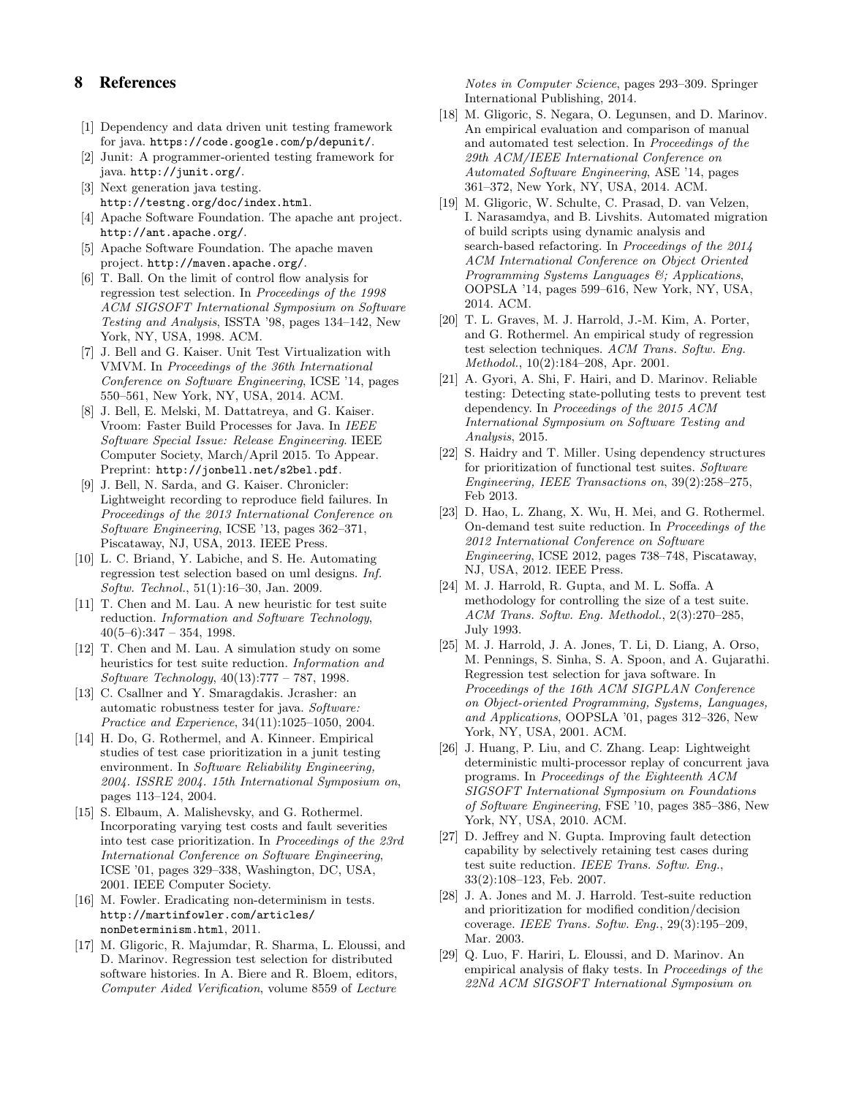# 8 References

- [1] Dependency and data driven unit testing framework for java. https://code.google.com/p/depunit/.
- [2] Junit: A programmer-oriented testing framework for java. http://junit.org/.
- [3] Next generation java testing. http://testng.org/doc/index.html.
- [4] Apache Software Foundation. The apache ant project. http://ant.apache.org/.
- [5] Apache Software Foundation. The apache maven project. http://maven.apache.org/.
- [6] T. Ball. On the limit of control flow analysis for regression test selection. In Proceedings of the 1998 ACM SIGSOFT International Symposium on Software Testing and Analysis, ISSTA '98, pages 134–142, New York, NY, USA, 1998. ACM.
- [7] J. Bell and G. Kaiser. Unit Test Virtualization with VMVM. In Proceedings of the 36th International Conference on Software Engineering, ICSE '14, pages 550–561, New York, NY, USA, 2014. ACM.
- [8] J. Bell, E. Melski, M. Dattatreya, and G. Kaiser. Vroom: Faster Build Processes for Java. In IEEE Software Special Issue: Release Engineering. IEEE Computer Society, March/April 2015. To Appear. Preprint: http://jonbell.net/s2bel.pdf.
- [9] J. Bell, N. Sarda, and G. Kaiser. Chronicler: Lightweight recording to reproduce field failures. In Proceedings of the 2013 International Conference on Software Engineering, ICSE '13, pages 362–371, Piscataway, NJ, USA, 2013. IEEE Press.
- [10] L. C. Briand, Y. Labiche, and S. He. Automating regression test selection based on uml designs. Inf. Softw. Technol., 51(1):16–30, Jan. 2009.
- [11] T. Chen and M. Lau. A new heuristic for test suite reduction. Information and Software Technology,  $40(5-6):347 - 354, 1998.$
- [12] T. Chen and M. Lau. A simulation study on some heuristics for test suite reduction. Information and Software Technology, 40(13):777 – 787, 1998.
- [13] C. Csallner and Y. Smaragdakis. Jcrasher: an automatic robustness tester for java. Software: Practice and Experience, 34(11):1025–1050, 2004.
- [14] H. Do, G. Rothermel, and A. Kinneer. Empirical studies of test case prioritization in a junit testing environment. In Software Reliability Engineering, 2004. ISSRE 2004. 15th International Symposium on, pages 113–124, 2004.
- [15] S. Elbaum, A. Malishevsky, and G. Rothermel. Incorporating varying test costs and fault severities into test case prioritization. In Proceedings of the 23rd International Conference on Software Engineering, ICSE '01, pages 329–338, Washington, DC, USA, 2001. IEEE Computer Society.
- [16] M. Fowler. Eradicating non-determinism in tests. http://martinfowler.com/articles/ nonDeterminism.html, 2011.
- [17] M. Gligoric, R. Majumdar, R. Sharma, L. Eloussi, and D. Marinov. Regression test selection for distributed software histories. In A. Biere and R. Bloem, editors, Computer Aided Verification, volume 8559 of Lecture

Notes in Computer Science, pages 293–309. Springer International Publishing, 2014.

- [18] M. Gligoric, S. Negara, O. Legunsen, and D. Marinov. An empirical evaluation and comparison of manual and automated test selection. In Proceedings of the 29th ACM/IEEE International Conference on Automated Software Engineering, ASE '14, pages 361–372, New York, NY, USA, 2014. ACM.
- [19] M. Gligoric, W. Schulte, C. Prasad, D. van Velzen, I. Narasamdya, and B. Livshits. Automated migration of build scripts using dynamic analysis and search-based refactoring. In Proceedings of the 2014 ACM International Conference on Object Oriented Programming Systems Languages &; Applications, OOPSLA '14, pages 599–616, New York, NY, USA, 2014. ACM.
- [20] T. L. Graves, M. J. Harrold, J.-M. Kim, A. Porter, and G. Rothermel. An empirical study of regression test selection techniques. ACM Trans. Softw. Eng. Methodol., 10(2):184–208, Apr. 2001.
- [21] A. Gyori, A. Shi, F. Hairi, and D. Marinov. Reliable testing: Detecting state-polluting tests to prevent test dependency. In Proceedings of the 2015 ACM International Symposium on Software Testing and Analysis, 2015.
- [22] S. Haidry and T. Miller. Using dependency structures for prioritization of functional test suites. Software Engineering, IEEE Transactions on, 39(2):258–275, Feb 2013.
- [23] D. Hao, L. Zhang, X. Wu, H. Mei, and G. Rothermel. On-demand test suite reduction. In Proceedings of the 2012 International Conference on Software Engineering, ICSE 2012, pages 738–748, Piscataway, NJ, USA, 2012. IEEE Press.
- [24] M. J. Harrold, R. Gupta, and M. L. Soffa. A methodology for controlling the size of a test suite. ACM Trans. Softw. Eng. Methodol., 2(3):270–285, July 1993.
- [25] M. J. Harrold, J. A. Jones, T. Li, D. Liang, A. Orso, M. Pennings, S. Sinha, S. A. Spoon, and A. Gujarathi. Regression test selection for java software. In Proceedings of the 16th ACM SIGPLAN Conference on Object-oriented Programming, Systems, Languages, and Applications, OOPSLA '01, pages 312–326, New York, NY, USA, 2001. ACM.
- [26] J. Huang, P. Liu, and C. Zhang. Leap: Lightweight deterministic multi-processor replay of concurrent java programs. In Proceedings of the Eighteenth ACM SIGSOFT International Symposium on Foundations of Software Engineering, FSE '10, pages 385–386, New York, NY, USA, 2010. ACM.
- [27] D. Jeffrey and N. Gupta. Improving fault detection capability by selectively retaining test cases during test suite reduction. IEEE Trans. Softw. Eng., 33(2):108–123, Feb. 2007.
- [28] J. A. Jones and M. J. Harrold. Test-suite reduction and prioritization for modified condition/decision coverage. IEEE Trans. Softw. Eng., 29(3):195–209, Mar. 2003.
- [29] Q. Luo, F. Hariri, L. Eloussi, and D. Marinov. An empirical analysis of flaky tests. In Proceedings of the 22Nd ACM SIGSOFT International Symposium on